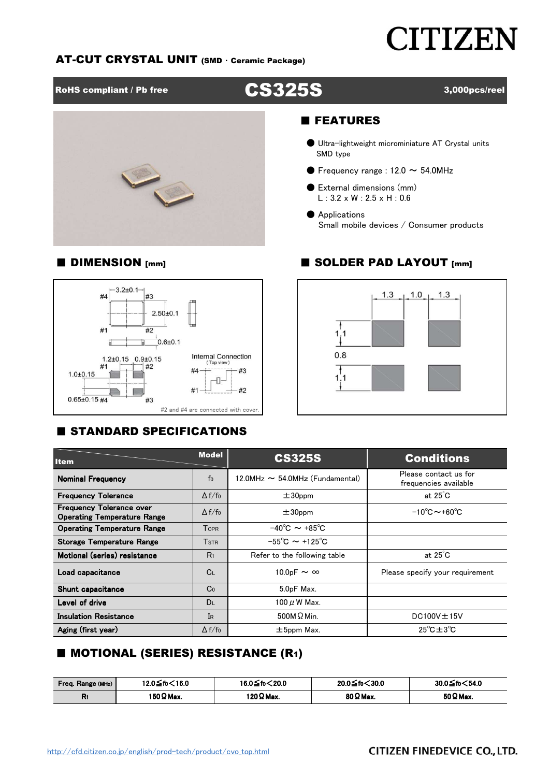# **CITIZEN**

#### AT-CUT CRYSTAL UNIT (SMD ・ Ceramic Package)

RoHS compliant / Pb free **CS325S** 3,000pcs/reel



# ■ FEATURES

- Ultra-lightweight microminiature AT Crystal units SMD type
- **•** Frequency range :  $12.0 \sim 54.0$ MHz
- External dimensions (mm)  $L: 3.2 \times W: 2.5 \times H: 0.6$
- Applications Small mobile devices / Consumer products

### ■ DIMENSION [mm] ■ SOLDER PAD LAYOUT [mm]



## **E STANDARD SPECIFICATIONS**



| <b>Item</b>                                                           | <b>Model</b>   | <b>CS325S</b>                           | <b>Conditions</b><br>Please contact us for<br>frequencies available |  |  |  |
|-----------------------------------------------------------------------|----------------|-----------------------------------------|---------------------------------------------------------------------|--|--|--|
| <b>Nominal Frequency</b>                                              | f <sub>0</sub> | $12.0$ MHz $\sim$ 54.0MHz (Fundamental) |                                                                     |  |  |  |
| <b>Frequency Tolerance</b>                                            | $\Delta f/f_0$ | $±30$ ppm                               | at $25^{\circ}$ C                                                   |  |  |  |
| <b>Frequency Tolerance over</b><br><b>Operating Temperature Range</b> | $\Delta f/f_0$ | $±30$ ppm                               | $-10^{\circ}$ C $\sim$ +60 $^{\circ}$ C                             |  |  |  |
| <b>Operating Temperature Range</b>                                    | <b>TOPR</b>    | $-40^{\circ}$ C $\sim +85^{\circ}$ C    |                                                                     |  |  |  |
| <b>Storage Temperature Range</b>                                      | <b>TSTR</b>    | $-55^{\circ}$ C ~ +125 <sup>°</sup> C   |                                                                     |  |  |  |
| Motional (series) resistance                                          | R <sub>1</sub> | Refer to the following table            | at $25^{\circ}$ C                                                   |  |  |  |
| Load capacitance                                                      | $C_{L}$        | 10.0pF $\sim \infty$                    | Please specify your requirement                                     |  |  |  |
| Shunt capacitance                                                     | Co             | 5.0pF Max.                              |                                                                     |  |  |  |
| Level of drive                                                        | DL             | 100 μW Max.                             |                                                                     |  |  |  |
| <b>Insulation Resistance</b>                                          | IR             | $500M\Omega$ Min.                       | $DC100V \pm 15V$                                                    |  |  |  |
| Aging (first year)                                                    | $\Delta f/f_0$ | $\pm$ 5ppm Max.                         | $25^{\circ}$ C $\pm$ 3 $^{\circ}$ C                                 |  |  |  |

### ■ MOTIONAL (SERIES) RESISTANCE (R1)

| 12.0 ≤ fo < 16.0<br>Freq. Range (MHz) |            | 16.0≦fo<20.0      | 20.0 ≤ fo < 30.0 | 30.0≦fo $<$ 54.0 |  |  |
|---------------------------------------|------------|-------------------|------------------|------------------|--|--|
| в.<br>ות                              | 150 Ω Max. | 120 $\Omega$ Max. | 80 Ω Max.        | 50 $\Omega$ Max. |  |  |